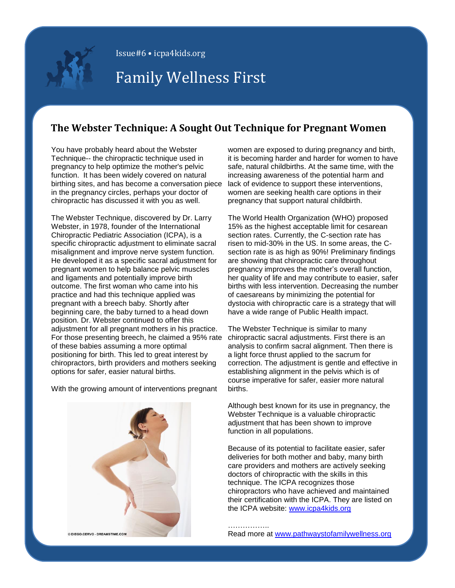

Issue#6 • icpa4kids.org

# Family Wellness First

## **The Webster Technique: A Sought Out Technique for Pregnant Women**

You have probably heard about the Webster Technique-- the chiropractic technique used in pregnancy to help optimize the mother's pelvic function. It has been widely covered on natural birthing sites, and has become a conversation piece in the pregnancy circles, perhaps your doctor of chiropractic has discussed it with you as well.

The Webster Technique, discovered by Dr. Larry Webster, in 1978, founder of the International Chiropractic Pediatric Association (ICPA), is a specific chiropractic adjustment to eliminate sacral misalignment and improve nerve system function. He developed it as a specific sacral adjustment for pregnant women to help balance pelvic muscles and ligaments and potentially improve birth outcome. The first woman who came into his practice and had this technique applied was pregnant with a breech baby. Shortly after beginning care, the baby turned to a head down position. Dr. Webster continued to offer this adjustment for all pregnant mothers in his practice. For those presenting breech, he claimed a 95% rate of these babies assuming a more optimal positioning for birth. This led to great interest by chiropractors, birth providers and mothers seeking options for safer, easier natural births.

With the growing amount of interventions pregnant



women are exposed to during pregnancy and birth, it is becoming harder and harder for women to have safe, natural childbirths. At the same time, with the increasing awareness of the potential harm and lack of evidence to support these interventions, women are seeking health care options in their pregnancy that support natural childbirth.

The World Health Organization (WHO) proposed 15% as the highest acceptable limit for cesarean section rates. Currently, the C-section rate has risen to mid-30% in the US. In some areas, the Csection rate is as high as 90%! Preliminary findings are showing that chiropractic care throughout pregnancy improves the mother's overall function, her quality of life and may contribute to easier, safer births with less intervention. Decreasing the number of caesareans by minimizing the potential for dystocia with chiropractic care is a strategy that will have a wide range of Public Health impact.

The Webster Technique is similar to many chiropractic sacral adjustments. First there is an analysis to confirm sacral alignment. Then there is a light force thrust applied to the sacrum for correction. The adjustment is gentle and effective in establishing alignment in the pelvis which is of course imperative for safer, easier more natural births.

Although best known for its use in pregnancy, the Webster Technique is a valuable chiropractic adjustment that has been shown to improve function in all populations.

Because of its potential to facilitate easier, safer deliveries for both mother and baby, many birth care providers and mothers are actively seeking doctors of chiropractic with the skills in this technique. The ICPA recognizes those chiropractors who have achieved and maintained their certification with the ICPA. They are listed on the ICPA website: [www.icpa4kids.org](http://www.icpa4kids.org/)

…………….. Read more at [www.pathwaystofamilywellness.org](http://pathwaystofamilywellness.org/Pregnancy-Birth/chiropractic-care-for-an-easier-pregnancy-and-safer-birth.html)